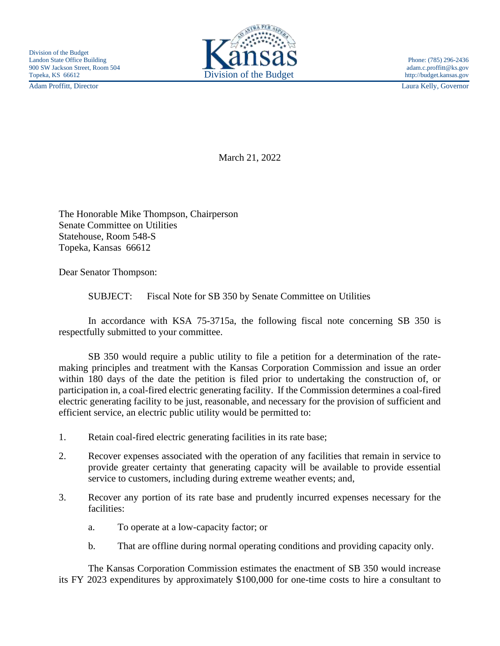Adam Proffitt, Director Laura Kelly, Governor



March 21, 2022

The Honorable Mike Thompson, Chairperson Senate Committee on Utilities Statehouse, Room 548-S Topeka, Kansas 66612

Dear Senator Thompson:

SUBJECT: Fiscal Note for SB 350 by Senate Committee on Utilities

In accordance with KSA 75-3715a, the following fiscal note concerning SB 350 is respectfully submitted to your committee.

SB 350 would require a public utility to file a petition for a determination of the ratemaking principles and treatment with the Kansas Corporation Commission and issue an order within 180 days of the date the petition is filed prior to undertaking the construction of, or participation in, a coal-fired electric generating facility. If the Commission determines a coal-fired electric generating facility to be just, reasonable, and necessary for the provision of sufficient and efficient service, an electric public utility would be permitted to:

- 1. Retain coal-fired electric generating facilities in its rate base;
- 2. Recover expenses associated with the operation of any facilities that remain in service to provide greater certainty that generating capacity will be available to provide essential service to customers, including during extreme weather events; and,
- 3. Recover any portion of its rate base and prudently incurred expenses necessary for the facilities:
	- a. To operate at a low-capacity factor; or
	- b. That are offline during normal operating conditions and providing capacity only.

The Kansas Corporation Commission estimates the enactment of SB 350 would increase its FY 2023 expenditures by approximately \$100,000 for one-time costs to hire a consultant to